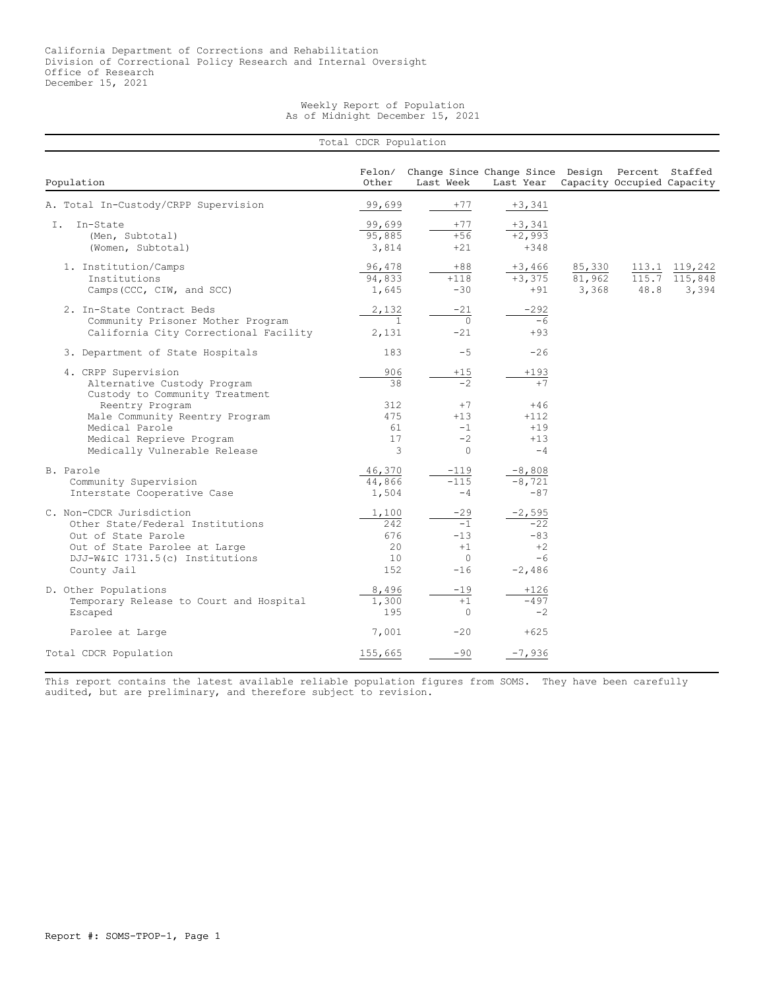Weekly Report of Population As of Midnight December 15, 2021

|                                                                                                                                                                        | Total CDCR Population                   |           |                                                  |                                                        |                           | Change Since Change Since Design Percent Staffed<br>Capacity Occupied Capacity |                                   |  |  |  |  |
|------------------------------------------------------------------------------------------------------------------------------------------------------------------------|-----------------------------------------|-----------|--------------------------------------------------|--------------------------------------------------------|---------------------------|--------------------------------------------------------------------------------|-----------------------------------|--|--|--|--|
| Population                                                                                                                                                             | Felon/<br>Other                         | Last Week |                                                  | Last Year                                              |                           |                                                                                |                                   |  |  |  |  |
| A. Total In-Custody/CRPP Supervision                                                                                                                                   | 99,699                                  |           | $+77$                                            | $+3,341$                                               |                           |                                                                                |                                   |  |  |  |  |
| In-State<br>I.<br>(Men, Subtotal)<br>(Women, Subtotal)                                                                                                                 | 99,699<br>95,885<br>3,814               |           | $+77$<br>$+56$<br>$+21$                          | $+3,341$<br>$+2,993$<br>$+348$                         |                           |                                                                                |                                   |  |  |  |  |
| 1. Institution/Camps<br>Institutions<br>Camps (CCC, CIW, and SCC)                                                                                                      | 96,478<br>94,833<br>1,645               |           | $+88$<br>$+118$<br>$-30$                         | $+3,466$<br>$+3,375$<br>$+91$                          | 85,330<br>81,962<br>3,368 | 115.7<br>48.8                                                                  | 113.1 119,242<br>115,848<br>3,394 |  |  |  |  |
| 2. In-State Contract Beds<br>Community Prisoner Mother Program<br>California City Correctional Facility                                                                | 2,132<br>$\mathbf{1}$<br>2,131          |           | $-21$<br>$\Omega$<br>$-21$                       | $-292$<br>$-6$<br>$+93$                                |                           |                                                                                |                                   |  |  |  |  |
| 3. Department of State Hospitals                                                                                                                                       | 183                                     |           | $-5$                                             | $-26$                                                  |                           |                                                                                |                                   |  |  |  |  |
| 4. CRPP Supervision<br>Alternative Custody Program<br>Custody to Community Treatment                                                                                   | 906<br>38                               |           | $+15$<br>$\overline{-2}$                         | $+193$<br>$+7$                                         |                           |                                                                                |                                   |  |  |  |  |
| Reentry Program<br>Male Community Reentry Program<br>Medical Parole<br>Medical Reprieve Program<br>Medically Vulnerable Release                                        | 312<br>475<br>61<br>17<br>3             |           | $+7$<br>$+13$<br>$-1$<br>$-2$<br>$\Omega$        | $+46$<br>$+112$<br>$+19$<br>$+13$<br>$-4$              |                           |                                                                                |                                   |  |  |  |  |
| B. Parole<br>Community Supervision<br>Interstate Cooperative Case                                                                                                      | 46,370<br>44,866<br>1,504               |           | $-119$<br>$-115$<br>$-4$                         | $-8,808$<br>$-8,721$<br>$-87$                          |                           |                                                                                |                                   |  |  |  |  |
| C. Non-CDCR Jurisdiction<br>Other State/Federal Institutions<br>Out of State Parole<br>Out of State Parolee at Large<br>DJJ-W&IC 1731.5(c) Institutions<br>County Jail | 1,100<br>2.42<br>676<br>20<br>10<br>152 |           | -29<br>$-1$<br>$-13$<br>$+1$<br>$\circ$<br>$-16$ | $-2,595$<br>$-22$<br>$-83$<br>$+2$<br>$-6$<br>$-2,486$ |                           |                                                                                |                                   |  |  |  |  |
| D. Other Populations<br>Temporary Release to Court and Hospital<br>Escaped                                                                                             | 8,496<br>1,300<br>195                   |           | $-19$<br>$+1$<br>$\circ$                         | $+126$<br>$-497$<br>$-2$                               |                           |                                                                                |                                   |  |  |  |  |
| Parolee at Large                                                                                                                                                       | 7,001                                   |           | $-20$                                            | $+625$                                                 |                           |                                                                                |                                   |  |  |  |  |
| Total CDCR Population                                                                                                                                                  | 155,665                                 |           | $-90$                                            | $-7,936$                                               |                           |                                                                                |                                   |  |  |  |  |

This report contains the latest available reliable population figures from SOMS. They have been carefully audited, but are preliminary, and therefore subject to revision.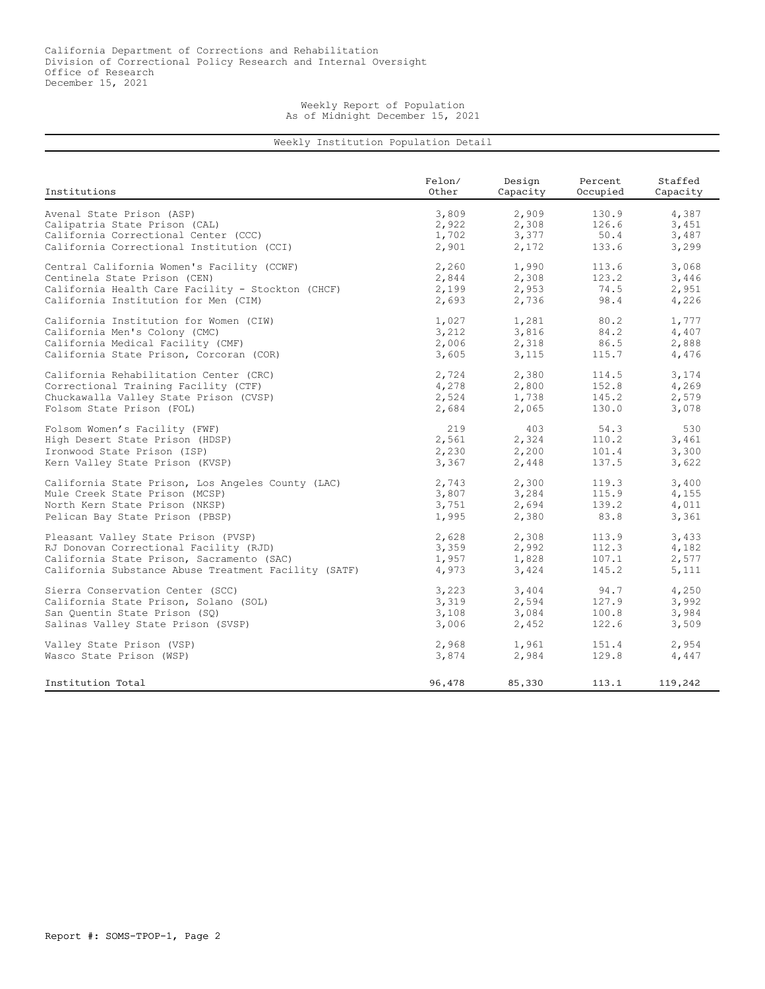## Weekly Report of Population As of Midnight December 15, 2021

## Weekly Institution Population Detail

| Institutions                                         | Felon/ | Design   | Percent  | Staffed  |
|------------------------------------------------------|--------|----------|----------|----------|
|                                                      | Other  | Capacity | Occupied | Capacity |
| Avenal State Prison (ASP)                            | 3,809  | 2,909    | 130.9    | 4,387    |
| Calipatria State Prison (CAL)                        | 2,922  | 2,308    | 126.6    | 3,451    |
| California Correctional Center (CCC)                 | 1,702  | 3,377    | 50.4     | 3,487    |
| California Correctional Institution (CCI)            | 2,901  | 2,172    | 133.6    | 3,299    |
| Central California Women's Facility (CCWF)           | 2,260  | 1,990    | 113.6    | 3,068    |
| Centinela State Prison (CEN)                         | 2,844  | 2,308    | 123.2    | 3,446    |
| California Health Care Facility - Stockton (CHCF)    | 2,199  | 2,953    | 74.5     | 2,951    |
| California Institution for Men (CIM)                 | 2,693  | 2,736    | 98.4     | 4,226    |
| California Institution for Women (CIW)               | 1,027  | 1,281    | 80.2     | 1,777    |
| California Men's Colony (CMC)                        | 3,212  | 3,816    | 84.2     | 4,407    |
| California Medical Facility (CMF)                    | 2,006  | 2,318    | 86.5     | 2,888    |
| California State Prison, Corcoran (COR)              | 3,605  | 3,115    | 115.7    | 4,476    |
| California Rehabilitation Center (CRC)               | 2,724  | 2,380    | 114.5    | 3,174    |
| Correctional Training Facility (CTF)                 | 4,278  | 2,800    | 152.8    | 4,269    |
| Chuckawalla Valley State Prison (CVSP)               | 2,524  | 1,738    | 145.2    | 2,579    |
| Folsom State Prison (FOL)                            | 2,684  | 2,065    | 130.0    | 3,078    |
| Folsom Women's Facility (FWF)                        | 219    | 403      | 54.3     | 530      |
| High Desert State Prison (HDSP)                      | 2,561  | 2,324    | 110.2    | 3,461    |
| Ironwood State Prison (ISP)                          | 2,230  | 2,200    | 101.4    | 3,300    |
| Kern Valley State Prison (KVSP)                      | 3,367  | 2,448    | 137.5    | 3,622    |
| California State Prison, Los Angeles County (LAC)    | 2,743  | 2,300    | 119.3    | 3,400    |
| Mule Creek State Prison (MCSP)                       | 3,807  | 3,284    | 115.9    | 4,155    |
| North Kern State Prison (NKSP)                       | 3,751  | 2,694    | 139.2    | 4,011    |
| Pelican Bay State Prison (PBSP)                      | 1,995  | 2,380    | 83.8     | 3,361    |
| Pleasant Valley State Prison (PVSP)                  | 2,628  | 2,308    | 113.9    | 3,433    |
| RJ Donovan Correctional Facility (RJD)               | 3,359  | 2,992    | 112.3    | 4,182    |
| California State Prison, Sacramento (SAC)            | 1,957  | 1,828    | 107.1    | 2,577    |
| California Substance Abuse Treatment Facility (SATF) | 4,973  | 3,424    | 145.2    | 5,111    |
| Sierra Conservation Center (SCC)                     | 3,223  | 3,404    | 94.7     | 4,250    |
| California State Prison, Solano (SOL)                | 3,319  | 2,594    | 127.9    | 3,992    |
| San Ouentin State Prison (SO)                        | 3,108  | 3,084    | 100.8    | 3,984    |
| Salinas Valley State Prison (SVSP)                   | 3,006  | 2,452    | 122.6    | 3,509    |
| Valley State Prison (VSP)                            | 2,968  | 1,961    | 151.4    | 2,954    |
| Wasco State Prison (WSP)                             | 3,874  | 2,984    | 129.8    | 4,447    |
| Institution Total                                    | 96,478 | 85,330   | 113.1    | 119,242  |